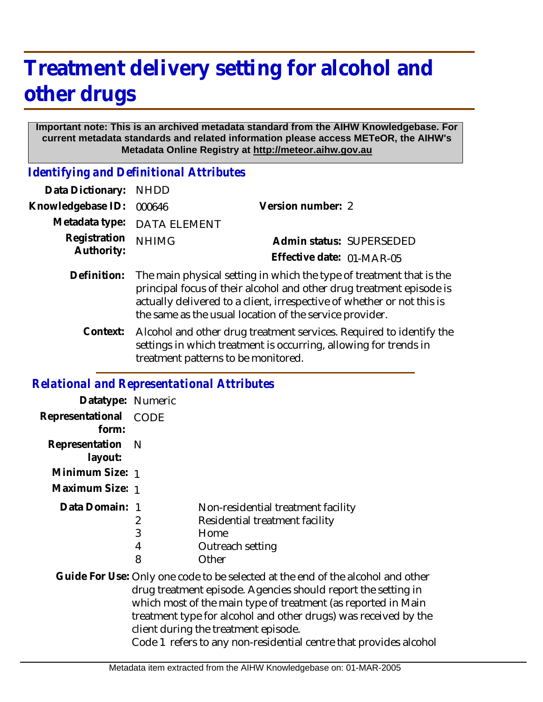## **Treatment delivery setting for alcohol and other drugs**

## **Important note: This is an archived metadata standard from the AIHW Knowledgebase. For current metadata standards and related information please access METeOR, the AIHW's Metadata Online Registry at http://meteor.aihw.gov.au**

*Identifying and Definitional Attributes*

| Data Dictionary: NHDD      |                                                                                                                                                          |                           |                          |
|----------------------------|----------------------------------------------------------------------------------------------------------------------------------------------------------|---------------------------|--------------------------|
| Knowledgebase ID: 000646   |                                                                                                                                                          | Version number: 2         |                          |
|                            | Metadata type: DATA ELEMENT                                                                                                                              |                           |                          |
| Registration<br>Authority: | <b>NHIMG</b>                                                                                                                                             |                           | Admin status: SUPERSEDED |
|                            |                                                                                                                                                          | Effective date: 01-MAR-05 |                          |
|                            | Definition: The main physical setting in which the type of treatment that is the<br>principal focus of their alcohol and other drug treatment episode is |                           |                          |

Alcohol and other drug treatment services. Required to identify the settings in which treatment is occurring, allowing for trends in treatment patterns to be monitored. **Context:**

the same as the usual location of the service provider.

actually delivered to a client, irrespective of whether or not this is

## *Relational and Representational Attributes*

| Datatype: Numeric              |             |                                                                                                                                                                                                                                                                                                                                                                                                   |
|--------------------------------|-------------|---------------------------------------------------------------------------------------------------------------------------------------------------------------------------------------------------------------------------------------------------------------------------------------------------------------------------------------------------------------------------------------------------|
| Representational CODE<br>form: |             |                                                                                                                                                                                                                                                                                                                                                                                                   |
| Representation<br>layout:      | - N         |                                                                                                                                                                                                                                                                                                                                                                                                   |
| Minimum Size: 1                |             |                                                                                                                                                                                                                                                                                                                                                                                                   |
| Maximum Size: 1                |             |                                                                                                                                                                                                                                                                                                                                                                                                   |
| Data Domain: 1                 | 2<br>3<br>4 | Non-residential treatment facility<br>Residential treatment facility<br>Home<br>Outreach setting                                                                                                                                                                                                                                                                                                  |
|                                | 8           | Other                                                                                                                                                                                                                                                                                                                                                                                             |
|                                |             | Guide For Use: Only one code to be selected at the end of the alcohol and other<br>drug treatment episode. Agencies should report the setting in<br>which most of the main type of treatment (as reported in Main<br>treatment type for alcohol and other drugs) was received by the<br>client during the treatment episode.<br>Code 1 refers to any non-residential centre that provides alcohol |